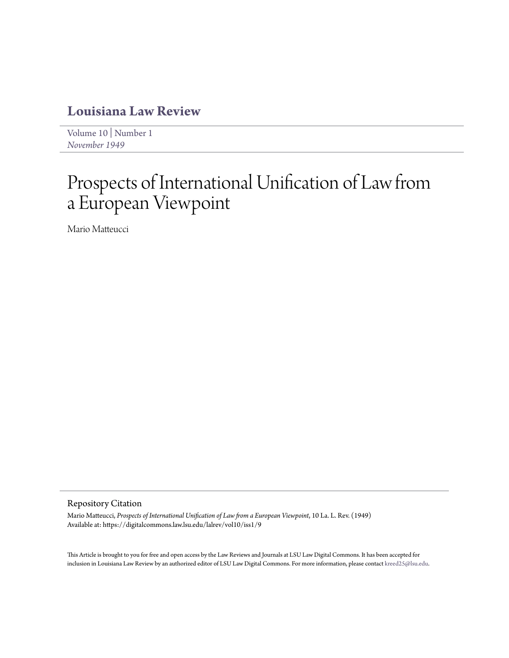### **[Louisiana Law Review](https://digitalcommons.law.lsu.edu/lalrev)**

[Volume 10](https://digitalcommons.law.lsu.edu/lalrev/vol10) | [Number 1](https://digitalcommons.law.lsu.edu/lalrev/vol10/iss1) *[November 1949](https://digitalcommons.law.lsu.edu/lalrev/vol10/iss1)*

# Prospects of International Unification of Law from a European Viewpoint

Mario Matteucci

#### Repository Citation

Mario Matteucci, *Prospects of International Unification of Law from a European Viewpoint*, 10 La. L. Rev. (1949) Available at: https://digitalcommons.law.lsu.edu/lalrev/vol10/iss1/9

This Article is brought to you for free and open access by the Law Reviews and Journals at LSU Law Digital Commons. It has been accepted for inclusion in Louisiana Law Review by an authorized editor of LSU Law Digital Commons. For more information, please contact [kreed25@lsu.edu](mailto:kreed25@lsu.edu).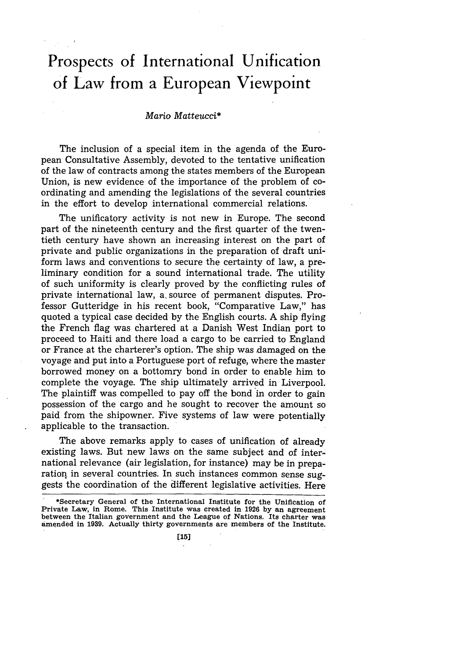## **Prospects of International Unification of Law from a European Viewpoint**

#### *Mario Matteucci\**

The inclusion of a special item in the agenda of the European Consultative Assembly, devoted to the tentative unification of the law of contracts among the states members of the European Union, is new evidence of the importance of the problem of coordinating and amending the legislations of the several countries in the effort to develop international commercial relations.

The unificatory activity is not new in Europe. The second part of the nineteenth century and the first quarter of the twentieth century have shown an increasing interest on the part of private and public organizations in the preparation of draft uniform laws and conventions to secure the certainty of law, a preliminary condition for a sound international trade. The utility of such uniformity is clearly proved by the conflicting rules of private international law, a. source of permanent disputes. Professor Gutteridge in his recent book, "Comparative Law," has quoted a typical case decided by the English courts. A ship flying the French flag was chartered at a Danish West Indian port to proceed to Haiti and there load a cargo to be carried to England or France at the charterer's option. The ship was damaged on the voyage and put into a Portuguese port of refuge, where the master borrowed money on a bottomry bond in order to enable him to complete the voyage. The ship ultimately arrived in Liverpool. The plaintiff was compelled to pay off the bond in order to gain possession of the cargo and he sought to recover the amount so paid from the shipowner. Five systems of law were potentially applicable to the transaction.

The above remarks apply to cases of unification of already existing laws. But new laws on the same subject and of international relevance (air legislation, for instance) may be in preparation in several countries. In such instances common sense suggests the coordination of the different legislative activities. Here

<sup>\*</sup>Secretary General of the International Institute for the Unification **of** Private Law, in Rome. This Institute was created in **1926 by** an agreement between the Italian government and the League of Nations. Its charter was amended in **1939.** Actually thirty governments **are** members of the Institute.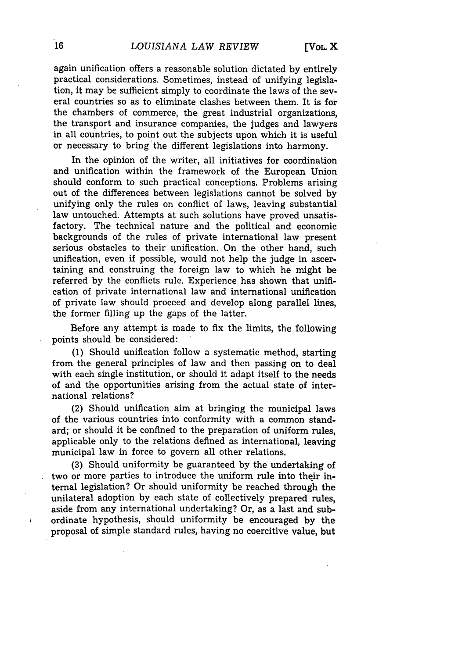again unification offers a reasonable solution dictated by entirely practical considerations. Sometimes, instead of unifying legislation, it may be sufficient simply to coordinate the laws of the several countries so as to eliminate clashes between them. It is for the chambers of commerce, the great industrial organizations, the transport and insurance companies, the judges and lawyers in all countries, to point out the subjects upon which it is useful or necessary to bring the different legislations into harmony.

In the opinion of the writer, all initiatives for coordination and unification within the framework of the European Union should conform to such practical conceptions. Problems arising out of the differences between legislations cannot be solved by unifying only the rules on conflict of laws, leaving substantial law untouched. Attempts at such solutions have proved unsatisfactory. The technical nature and the political and economic backgrounds of the rules of private international law present serious obstacles to their unification. On the other hand, such unification, even if possible, would not help the judge in ascertaining and construing the foreign law to which he might be referred by the conflicts rule. Experience has shown that unification of private international law and international unification of private law should proceed and develop along parallel lines, the former filling up the gaps of the latter.

Before any attempt is made to fix the limits, the following points should be considered:

(1) Should unification follow a systematic method, starting from the general principles of law and then passing on to deal with each single institution, or should it adapt itself to the needs of and the opportunities arising from the actual state of international relations?

(2) Should unification aim at bringing the municipal laws of the various countries into conformity with a common standard; or should it be confined to the preparation of uniform rules, applicable only to the relations defined as international, leaving municipal law in force to govern all other relations.

(3) Should uniformity be guaranteed by the undertaking of two or more parties to introduce the uniform rule into their internal legislation? Or should uniformity be reached through the unilateral adoption by each state of collectively prepared rules, aside from any international undertaking? Or, as a last and subordinate hypothesis, should uniformity be encouraged by the proposal of simple standard rules, having no coercitive value, but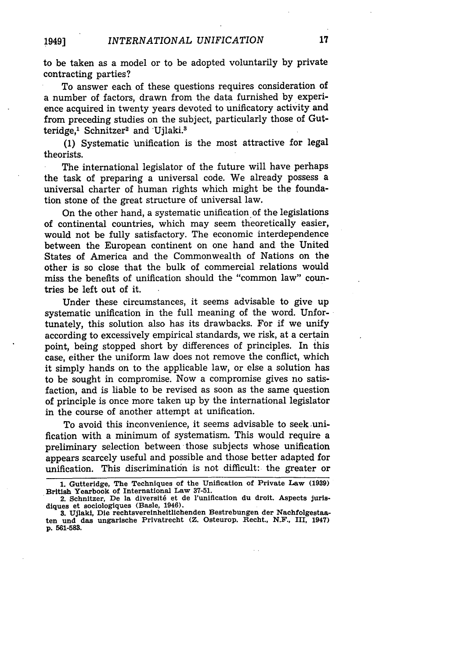to be taken as a model or to be adopted voluntarily **by** private contracting parties?

To answer each of these questions requires consideration of a number of factors, drawn from the data furnished by experience acquired in twenty years devoted to unificatory activity and from preceding studies on the subject, particularly those of Gutteridge,<sup>1</sup> Schnitzer<sup>2</sup> and Ujlaki.<sup>8</sup>

**(1)** Systematic 'unification is the most attractive for legal theorists.

The international legislator of the future will have perhaps the task of preparing a universal code. We already possess a universal charter of human rights which might be the foundation stone of the great structure of universal law.

On the other hand, a systematic unification of the legislations of continental countries, which may seem theoretically easier, would not be fully satisfactory. The economic interdependence between the European continent on one hand and the United States of America and the Commonwealth of Nations on the other is so close that the bulk of commercial relations would miss the benefits of unification should the "common law" countries be left out of it.

Under these circumstances, it seems advisable to give up systematic unification in the full meaning of the word. Unfortunately, this solution also has its drawbacks. For if we unify according to excessively empirical standards, we risk, at a certain point, being stopped short by differences of principles. In this case, either the uniform law does not remove the conflict, which it simply hands on to the applicable law, or else a solution has to be sought in compromise. Now a compromise gives no satisfaction, and is liable to be revised as soon as the same question of principle is once more taken up by the international legislator in the course of another attempt at unification.

To avoid this inconvenience, it seems advisable to seek unification with a minimum of systematism. This would require a preliminary selection between those subjects whose unification appears scarcely useful and possible and those better adapted for unification. This discrimination is not difficult: the greater or

**<sup>1.</sup> Gutteridge, The Techniques of the Unification of Private Law (1939) British Yearbook of International Law 37-51.**

**<sup>2.</sup> Schnitzer, De la diversit6 et de l'uniflcation du droit. Aspects Jurisdiques et sociologiques (Basle, 1946).**

**<sup>3.</sup> Ujlaki, Die rechtsvereinheltlichenden Bestrebungen der Nachfolgestaaten und das ungarische Privatrecht (Z. Osteurop. Recht., N.F., III, 1947) p. 561-583.**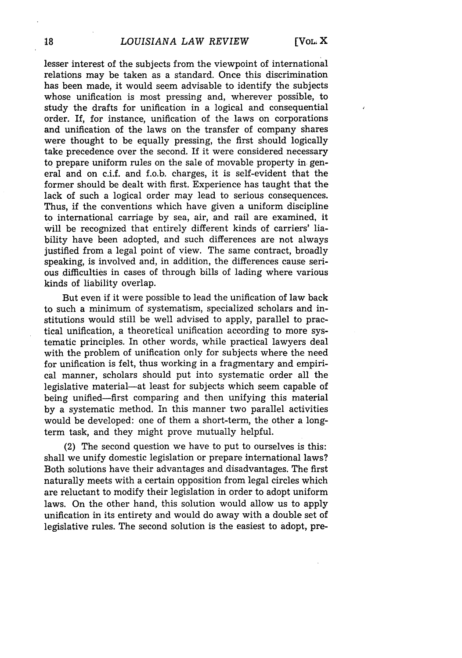lesser interest of the subjects from the viewpoint of international relations may be taken as a standard. Once this discrimination has been made, it would seem advisable to identify the subjects whose unification is most pressing and, wherever possible, to study the drafts for unification in a logical and consequential order. If, for instance, unification of the laws on corporations and unification of the laws on the transfer of company shares were thought to be equally pressing, the first should logically take precedence over the second. If it were considered necessary to prepare uniform rules on the sale of movable property in. general and on c.i.f. and f.o.b. charges, it is self-evident that the former should be dealt with first. Experience has taught that the lack of such a logical order may lead to serious consequences. Thus, if the conventions which have given a uniform discipline to international carriage by sea, air, and rail are examined, it will be recognized that entirely different kinds of carriers' liability have been adopted, and such differences are not always justified from a legal point of view. The same contract, broadly speaking, is involved and, in addition, the differences cause serious difficulties in cases of through bills of lading where various kinds of liability overlap.

But even if it were possible to lead the unification of law back to such a minimum of systematism, specialized scholars and institutions would still be well advised to apply, parallel to practical unification, a theoretical unification according to more systematic principles. In other words, while practical lawyers deal with the problem of unification only for subjects where the need for unification is felt, thus working in a fragmentary and empirical manner, scholars should put into systematic order all the legislative material-at least for subjects which seem capable of being unified-first comparing and then unifying this material by a systematic method. In this manner two parallel activities would be developed: one of them a short-term, the other a longterm task, and they might prove mutually helpful.

(2) The second question we have to put to ourselves is this: shall we unify domestic legislation or prepare international laws? Both solutions have their advantages and disadvantages. The first naturally meets with a certain opposition from legal circles which are reluctant to modify their legislation in order to adopt uniform laws. On the other hand, this solution would allow us to apply unification in its entirety and would do away with a double set of legislative rules. The second solution is the easiest to adopt, pre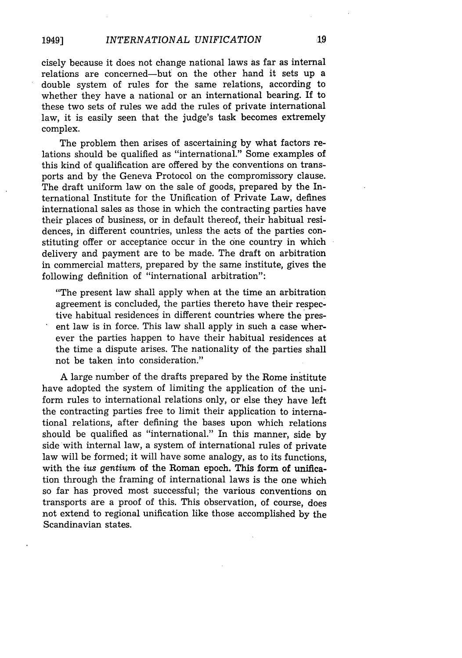cisely because it does not change national laws as far as internal relations are concerned-but on the other hand it sets up a double system of rules for the same relations, according to whether they have a national or an international bearing. If to these two sets of rules we add the rules of private international law, it is easily seen that the judge's task becomes extremely complex.

The problem then arises of ascertaining by what factors relations should be qualified as "international." Some examples of this kind of qualification are offered by the conventions on transports and by the Geneva Protocol on the compromissory clause. The draft uniform law on the sale of goods, prepared by the International Institute for the Unification of Private Law, defines international sales as those in which the contracting parties have their places of business, or in default thereof, their habitual residences, in different countries, unless the acts of the parties constituting offer or acceptance occur in the one country in which delivery and payment are to be made. The draft on arbitration in commercial matters, prepared by the same institute, gives the following definition of "international arbitration":

"The present law shall apply when at the time an arbitration agreement is concluded, the parties thereto have their respective habitual residences in different countries where the present law is in force. This law shall apply in such a case wherever the parties happen to have their habitual residences at the time a dispute arises. The nationality of the parties shall not be taken into consideration."

A large number of the drafts prepared by the Rome institute have adopted the system of limiting the application of the uniform rules to international relations only, or else they have left the contracting parties free to limit their application to international relations, after defining the bases upon which relations should be qualified as "international." In this manner, side by side with internal law, a system of international rules of private law will be formed; it will have some analogy, as to its functions, with the ius *gentium* of the Roman epoch. This form of unification through the framing of international laws is the one which so far has proved most successful; the various conventions on transports are a proof of this. This observation, of course, does not extend to regional unification like those accomplished by the Scandinavian states.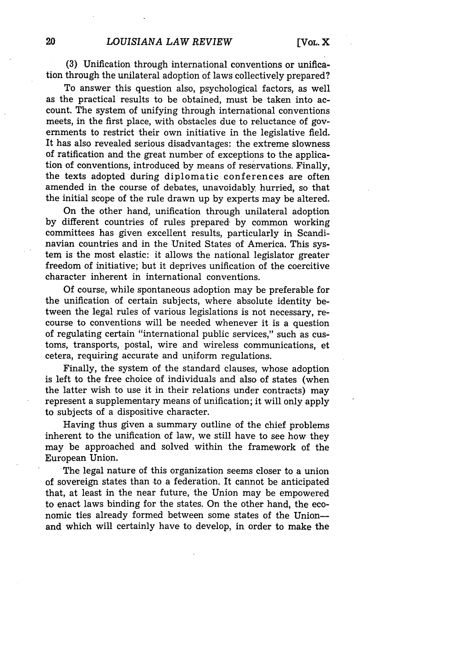(3) Unification through international conventions or unification through the unilateral adoption of laws collectively prepared?

To answer this question also, psychological factors, as well as the practical results to be obtained, must be taken into account. The system of unifying through international conventions meets, in the first place, with obstacles due to reluctance of governments to restrict their own initiative in the legislative field. It has also revealed serious disadvantages: the extreme slowness of ratification and the great number of exceptions to the application of conventions, introduced by means of reservations. Finally, the texts adopted during diplomatic conferences are often amended in the course of debates, unavoidably hurried, so that the initial scope of the rule drawn up by experts may be altered.

On the other hand, unification through unilateral adoption by different countries of rules prepared by common working committees has given excellent results, particularly in Scandinavian countries and in the United States of America. This system is the most elastic: it allows the national legislator greater freedom of initiative; but it deprives unification of the coercitive character inherent in international conventions.

Of course, while spontaneous adoption may be preferable for the unification of certain subjects, where absolute identity between the legal rules of various legislations is not necessary, recourse to conventions will be needed whenever it is a question of regulating certain "international public services," such as customs, transports, postal, wire and wireless communications, et cetera, requiring accurate and uniform regulations.

Finally, the system of the standard clauses, whose adoption is left to the free choice of individuals and also of states (when the latter wish to use it in their relations under contracts) may represent a supplementary means of unification; it will only apply to subjects of a dispositive character.

Having thus given a summary outline of the chief problems inherent to the unification of law, we still have to see how they may be approached and solved within the framework of the European Union.

The legal nature of this organization seems closer to a union of sovereign states than to a federation. It cannot be anticipated that, at least in the near future, the Union may be empowered to enact laws binding for the states. On the other hand, the economic ties already formed between some states of the Unionand which will certainly have to develop, in order to make the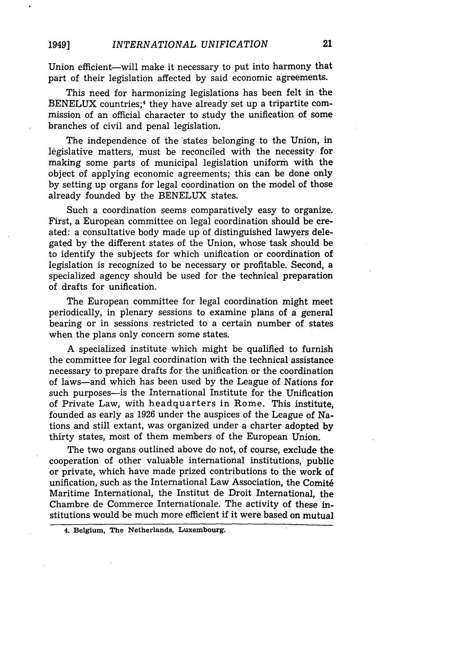Union efficient-will make it necessary to put into harmony that part of their legislation affected by said economic agreements.

This need for harmonizing legislations has been felt in the BENELUX countries;<sup>4</sup> they have already set up a tripartite commission of an official character to study the unification of some branches of civil and penal legislation.

The independence of the states belonging to the Union, in legislative matters, must be reconciled with the necessity for making some parts of municipal legislation uniform with the object of applying economic agreements; this can be done only by setting up organs for legal coordination on the model of those already founded by the BENELUX states.

Such a coordination seems comparatively easy to organize. First, a European committee on legal coordination should be created: a consultative body made up of distinguished lawyers delegated by the different states of the Union, whose task should be to identify the subjects for which unification or coordination of legislation is recognized to be necessary or profitable. Second, a specialized agency should be used for the technical preparation of drafts for unification.

The European committee for legal coordination might meet periodically, in plenary sessions to examine plans of a general bearing or in sessions restricted to a certain number of states when the plans only concern some states.

A specialized institute which might be qualified to furnish the committee for legal coordination with the technical assistance necessary to prepare drafts for the unification or the coordination of laws-and which has been used by the League of Nations for such purposes-is the International Institute for the Unification of Private Law, with headquarters in Rome. This institute, founded as early as 1926 under the auspices of the League of Nations and still extant, was organized under a charter adopted by thirty states, most of them members of the European Union.

The two organs outlined above do not, of course, exclude the cooperation of other valuable international institutions, public or private, which have made prized contributions to the work of unification, such as the International Law Association, the Comit6 Maritime International, the Institut de Droit International, the Chambre de Commerce Internationale. The activity of these institutions would be much more efficient if it were based on mutual

**<sup>4.</sup> Belgium, The Netherlands, Luxembourg.**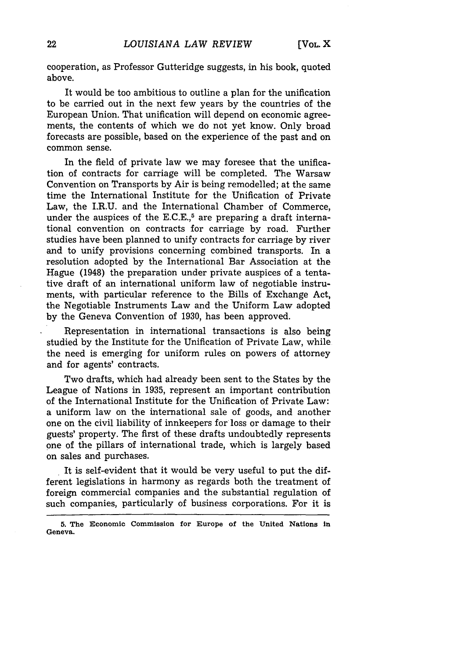cooperation, as Professor Gutteridge suggests, in his book, quoted above.

It would be too ambitious to outline a plan for the unification to be carried out in the next few years by the countries of the European Union. That unification will depend on economic agreements, the contents of which we do not yet know. Only broad forecasts are possible, based on the experience of the past and on common sense.

In the field of private law we may foresee that the unification of contracts for carriage will be completed. The Warsaw Convention on Transports by Air is being remodelled; at the same time the International Institute for the Unification of Private Law, the I.R.U. and the International Chamber of Commerce, under the auspices of the E.C.E., $5$  are preparing a draft international convention on contracts for carriage by road. Further studies have been planned to unify contracts for carriage by river and to unify provisions concerning combined transports. In a resolution adopted by the International Bar Association at the Hague (1948) the preparation under private auspices of a tentative draft of an international uniform law of negotiable instruments, with particular reference to the Bills of Exchange Act, the Negotiable Instruments Law and the Uniform Law adopted by the Geneva Convention of 1930, has been approved.

Representation in international transactions is also being studied by the Institute for the Unification of Private Law, while the need is emerging for uniform rules on powers of attorney and for agents' contracts.

Two drafts, which had already been sent to the States by the League of Nations in 1935, represent an important contribution of the International Institute for the Unification of Private Law: a uniform law on the international sale of goods, and another one on the civil liability of innkeepers for loss or damage to their guests' property. The first of these drafts undoubtedly represents one of the pillars of international trade, which is largely based on sales and purchases.

It is self-evident that it would be very useful to put the different legislations in harmony as regards both the treatment of foreign commercial companies and the substantial regulation of such companies, particularly of business corporations. For it is

**<sup>5.</sup> The Economic Commission** for **Europe of the United Nations in Geneva.**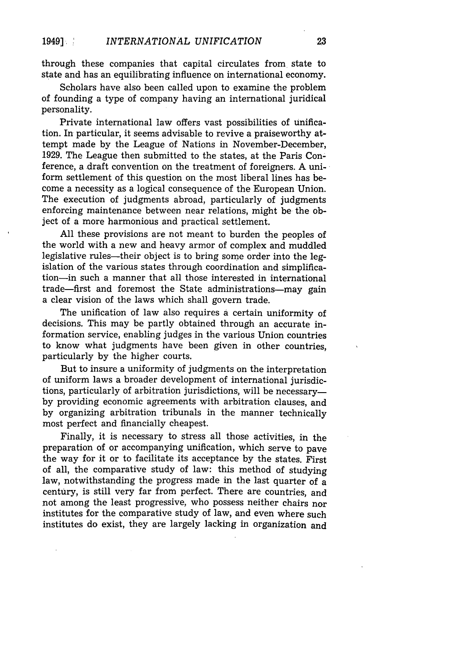through these companies that capital circulates from state to state and has an equilibrating influence on international economy.

Scholars have also been called upon to examine the problem of founding a type of company having an international juridical personality.

Private international law offers vast possibilities of unification. In particular, it seems advisable to revive a praiseworthy attempt made by the League of Nations in November-December, 1929. The League then submitted to the states, at the Paris Conference, a draft convention on the treatment of foreigners. A uniform settlement of this question on the most liberal lines has become a necessity as a logical consequence of the European Union. The execution of judgments abroad, particularly of judgments enforcing maintenance between near relations, might be the object of a more harmonious and practical settlement.

All these provisions are not meant to burden the peoples of the world with a new and heavy armor of complex and muddled legislative rules—their object is to bring some order into the legislation of the various states through coordination and simplification-in such a manner that all those interested in international trade-first and foremost the State administrations-may gain a clear vision of the laws which shall govern trade.

The unification of law also requires a certain uniformity of decisions. This may be partly obtained through an accurate information service, enabling judges in the various Union countries to know what judgments have been given in other countries, particularly by the higher courts.

But to insure a uniformity of judgments on the interpretation of uniform laws a broader development of international jurisdictions, particularly of arbitration jurisdictions, will be necessary by providing economic agreements with arbitration clauses, and by organizing arbitration tribunals in the manner technically most perfect and financially cheapest.

Finally, it is necessary to stress all those activities, in the preparation of or accompanying unification, which serve to pave the way for it or to facilitate its acceptance by the states. First of all, the comparative study of law: this method of studying law, notwithstanding the progress made in the last quarter of a century, is still very far from perfect. There are countries, and not among the least progressive, who possess neither chairs nor institutes for the comparative study of law, and even where such institutes do exist, they are largely lacking in organization and